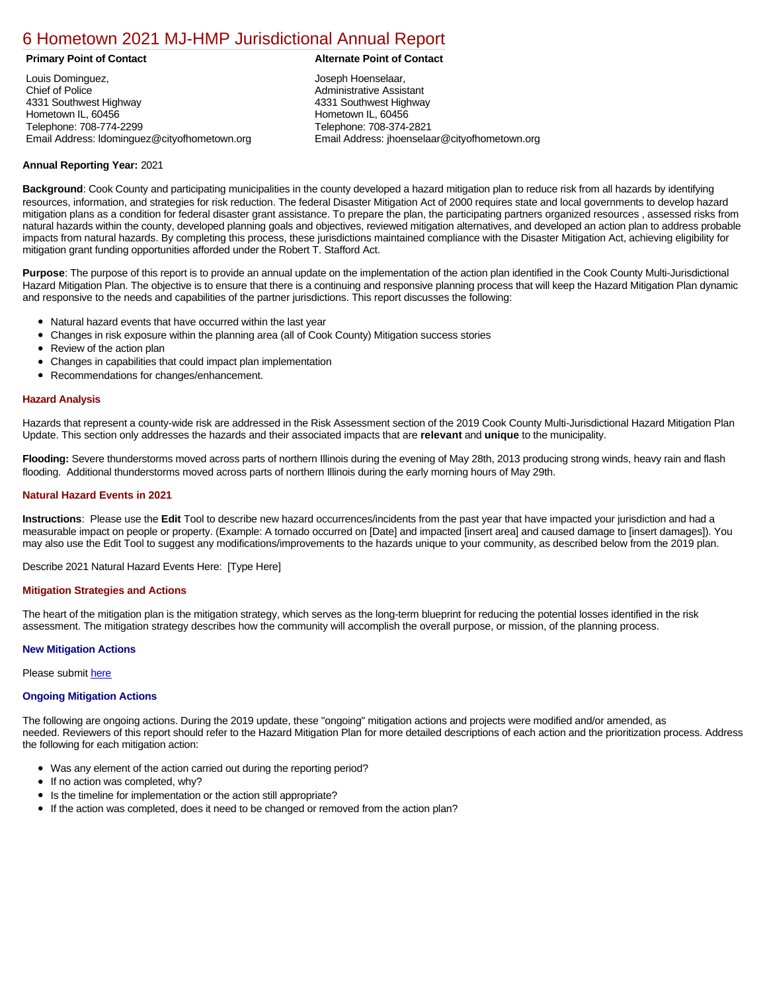# [6 Hometown 2021 MJ-HMP Jurisdictional Annual Report](https://hometown.isc-cemp.com/Cemp/Details?id=8322842)

Louis Dominguez, Chief of Police 4331 Southwest Highway Hometown IL, 60456 Telephone: 708-774-2299 Email Address: ldominguez@cityofhometown.org

# **Primary Point of Contact Alternate Point of Contact**

Joseph Hoenselaar, Administrative Assistant 4331 Southwest Highway Hometown IL, 60456 Telephone: 708-374-2821 Email Address: jhoenselaar@cityofhometown.org

# **Annual Reporting Year:** 2021

**Background**: Cook County and participating municipalities in the county developed a hazard mitigation plan to reduce risk from all hazards by identifying resources, information, and strategies for risk reduction. The federal Disaster Mitigation Act of 2000 requires state and local governments to develop hazard mitigation plans as a condition for federal disaster grant assistance. To prepare the plan, the participating partners organized resources , assessed risks from natural hazards within the county, developed planning goals and objectives, reviewed mitigation alternatives, and developed an action plan to address probable impacts from natural hazards. By completing this process, these jurisdictions maintained compliance with the Disaster Mitigation Act, achieving eligibility for mitigation grant funding opportunities afforded under the Robert T. Stafford Act.

**Purpose**: The purpose of this report is to provide an annual update on the implementation of the action plan identified in the Cook County Multi-Jurisdictional Hazard Mitigation Plan. The objective is to ensure that there is a continuing and responsive planning process that will keep the Hazard Mitigation Plan dynamic and responsive to the needs and capabilities of the partner jurisdictions. This report discusses the following:

- Natural hazard events that have occurred within the last year
- Changes in risk exposure within the planning area (all of Cook County) Mitigation success stories  $\bullet$
- $\bullet$ Review of the action plan
- Changes in capabilities that could impact plan implementation  $\bullet$
- Recommendations for changes/enhancement.  $\bullet$

# **Hazard Analysis**

Hazards that represent a county-wide risk are addressed in the Risk Assessment section of the 2019 Cook County Multi-Jurisdictional Hazard Mitigation Plan Update. This section only addresses the hazards and their associated impacts that are **relevant** and **unique** to the municipality.

**Flooding:** Severe thunderstorms moved across parts of northern Illinois during the evening of May 28th, 2013 producing strong winds, heavy rain and flash flooding. Additional thunderstorms moved across parts of northern Illinois during the early morning hours of May 29th.

#### **Natural Hazard Events in 2021**

**Instructions**: Please use the **Edit** Tool to describe new hazard occurrences/incidents from the past year that have impacted your jurisdiction and had a measurable impact on people or property. (Example: A tornado occurred on [Date] and impacted [insert area] and caused damage to [insert damages]). You may also use the Edit Tool to suggest any modifications/improvements to the hazards unique to your community, as described below from the 2019 plan.

Describe 2021 Natural Hazard Events Here: [Type Here]

### **Mitigation Strategies and Actions**

The heart of the mitigation plan is the mitigation strategy, which serves as the long-term blueprint for reducing the potential losses identified in the risk assessment. The mitigation strategy describes how the community will accomplish the overall purpose, or mission, of the planning process.

#### **New Mitigation Actions**

Please submit [here](https://integratedsolutions.wufoo.com/forms/mg21jvf0jn639o/)

#### **Ongoing Mitigation Actions**

The following are ongoing actions. During the 2019 update, these "ongoing" mitigation actions and projects were modified and/or amended, as needed. Reviewers of this report should refer to the Hazard Mitigation Plan for more detailed descriptions of each action and the prioritization process. Address the following for each mitigation action:

- Was any element of the action carried out during the reporting period?
- $\bullet$ If no action was completed, why?
- Is the timeline for implementation or the action still appropriate?
- If the action was completed, does it need to be changed or removed from the action plan?  $\bullet$